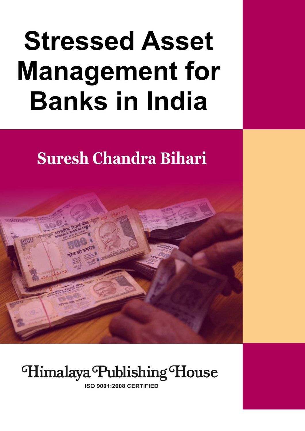# **Stressed Asset Management for Banks in India**

**Suresh Chandra Bihari** 





**ISO 9001:2008 CERTIFIED**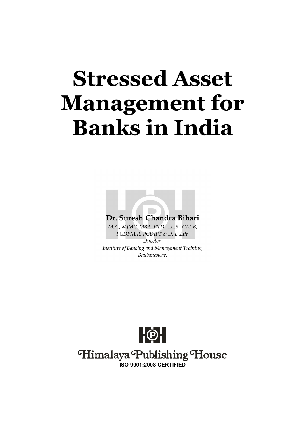## **Stressed Asset Management for Banks in India**



*M.A., MJMC, MBA, Ph.D., LL.B., CAIIB, PGDPMIR, PGDIPT & D, D.Litt. Director,*

*Institute of Banking and Management Training, Bhubaneswar.*



## Himalaya Publishing House **ISO 9001:2008 CERTIFIED**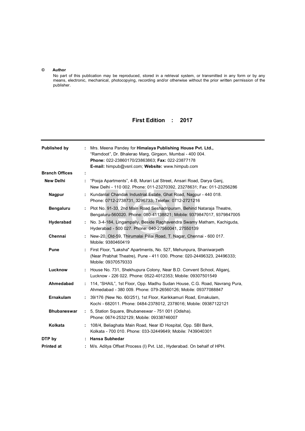#### **© Author**

No part of this publication may be reproduced, stored in a retrieval system, or transmitted in any form or by any means, electronic, mechanical, photocopying, recording and/or otherwise without the prior written permission of the publisher.

## **First Edition : 2017**

| Published by          |    | : Mrs. Meena Pandey for Himalaya Publishing House Pvt. Ltd.,<br>"Ramdoot", Dr. Bhalerao Marg, Girgaon, Mumbai - 400 004.<br>Phone: 022-23860170/23863863; Fax: 022-23877178<br>E-mail: himpub@vsnl.com; Website: www.himpub.com |
|-----------------------|----|---------------------------------------------------------------------------------------------------------------------------------------------------------------------------------------------------------------------------------|
| <b>Branch Offices</b> | ÷  |                                                                                                                                                                                                                                 |
| <b>New Delhi</b>      | ÷  | "Pooja Apartments", 4-B, Murari Lal Street, Ansari Road, Darya Ganj,<br>New Delhi - 110 002. Phone: 011-23270392, 23278631; Fax: 011-23256286                                                                                   |
| <b>Nagpur</b>         |    | : Kundanlal Chandak Industrial Estate, Ghat Road, Nagpur - 440 018.<br>Phone: 0712-2738731, 3296733; Telefax: 0712-2721216                                                                                                      |
| <b>Bengaluru</b>      |    | : Plot No. 91-33, 2nd Main Road Seshadripuram, Behind Nataraja Theatre,<br>Bengaluru-560020. Phone: 080-41138821; Mobile: 9379847017, 9379847005                                                                                |
| <b>Hyderabad</b>      |    | : No. 3-4-184, Lingampally, Beside Raghavendra Swamy Matham, Kachiguda,<br>Hyderabad - 500 027. Phone: 040-27560041, 27550139                                                                                                   |
| Chennai               |    | : New-20, Old-59, Thirumalai Pillai Road, T. Nagar, Chennai - 600 017.<br>Mobile: 9380460419                                                                                                                                    |
| Pune                  |    | : First Floor, "Laksha" Apartments, No. 527, Mehunpura, Shaniwarpeth<br>(Near Prabhat Theatre), Pune - 411 030. Phone: 020-24496323, 24496333;<br>Mobile: 09370579333                                                           |
| Lucknow               |    | : House No. 731, Shekhupura Colony, Near B.D. Convent School, Aligani,<br>Lucknow - 226 022. Phone: 0522-4012353; Mobile: 09307501549                                                                                           |
| Ahmedabad             |    | : 114, "SHAIL", 1st Floor, Opp. Madhu Sudan House, C.G. Road, Navrang Pura,<br>Ahmedabad - 380 009. Phone: 079-26560126; Mobile: 09377088847                                                                                    |
| <b>Ernakulam</b>      |    | : 39/176 (New No. 60/251), 1st Floor, Karikkamuri Road, Ernakulam,<br>Kochi - 682011. Phone: 0484-2378012, 2378016; Mobile: 09387122121                                                                                         |
| <b>Bhubaneswar</b>    | ÷. | 5, Station Square, Bhubaneswar - 751 001 (Odisha).<br>Phone: 0674-2532129; Mobile: 09338746007                                                                                                                                  |
| Kolkata               |    | : 108/4, Beliaghata Main Road, Near ID Hospital, Opp. SBI Bank,<br>Kolkata - 700 010. Phone: 033-32449649; Mobile: 7439040301                                                                                                   |
| DTP by                |    | : Hansa Subhedar                                                                                                                                                                                                                |
| <b>Printed at</b>     |    | : M/s. Aditya Offset Process (I) Pvt. Ltd., Hyderabad. On behalf of HPH.                                                                                                                                                        |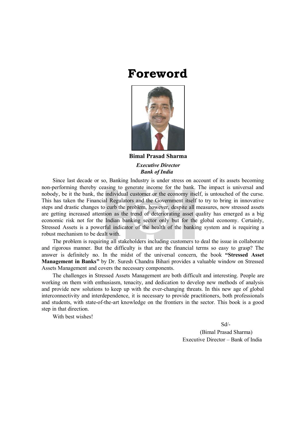## **Foreword**



**Bimal Prasad Sharma** *Executive Director Bank of India*

Since last decade or so, Banking Industry is under stress on account of its assets becoming non-performing thereby ceasing to generate income for the bank. The impact is universal and nobody, be it the bank, the individual customer or the economy itself, is untouched of the curse. This has taken the Financial Regulators and the Government itself to try to bring in innovative steps and drastic changes to curb the problem, however, despite all measures, now stressed assets are getting increased attention as the trend of deteriorating asset quality has emerged as a big economic risk not for the Indian banking sector only but for the global economy. Certainly, Stressed Assets is a powerful indicator of the health of the banking system and is requiring a robust mechanism to be dealt with.

The problem is requiring all stakeholders including customers to deal the issue in collaborate and rigorous manner. But the difficulty is that are the financial terms so easy to grasp? The answer is definitely no. In the midst of the universal concern, the book **"Stressed Asset Management in Banks"** by Dr. Suresh Chandra Bihari provides a valuable window on Stressed Assets Management and covers the necessary components.

The challenges in Stressed Assets Management are both difficult and interesting. People are working on them with enthusiasm, tenacity, and dedication to develop new methods of analysis and provide new solutions to keep up with the ever-changing threats. In this new age of global interconnectivity and interdependence, it is necessary to provide practitioners, both professionals and students, with state-of-the-art knowledge on the frontiers in the sector. This book is a good step in that direction.

With best wishes!

Sd/- (Bimal Prasad Sharma) Executive Director – Bank of India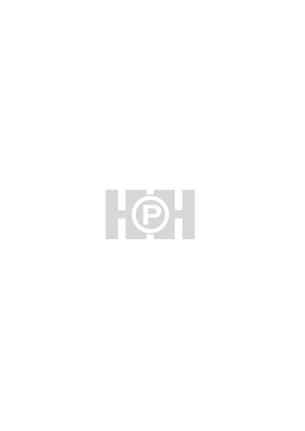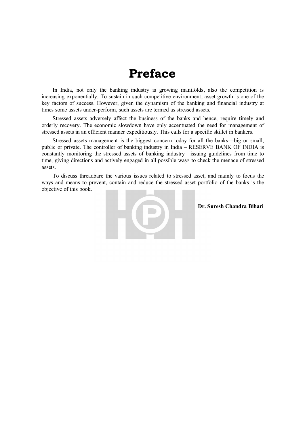## **Preface**

In India, not only the banking industry is growing manifolds, also the competition is increasing exponentially. To sustain in such competitive environment, asset growth is one of the key factors of success. However, given the dynamism of the banking and financial industry at times some assets under-perform, such assets are termed as stressed assets.

Stressed assets adversely affect the business of the banks and hence, require timely and orderly recovery. The economic slowdown have only accentuated the need for management of stressed assets in an efficient manner expeditiously. This calls for a specific skillet in bankers.

Stressed assets management is the biggest concern today for all the banks—big or small, public or private. The controller of banking industry in India – RESERVE BANK OF INDIA is constantly monitoring the stressed assets of banking industry—issuing guidelines from time to time, giving directions and actively engaged in all possible ways to check the menace of stressed assets.

To discuss threadbare the various issues related to stressed asset, and mainly to focus the ways and means to prevent, contain and reduce the stressed asset portfolio of the banks is the objective of this book.



**Dr. Suresh Chandra Bihari**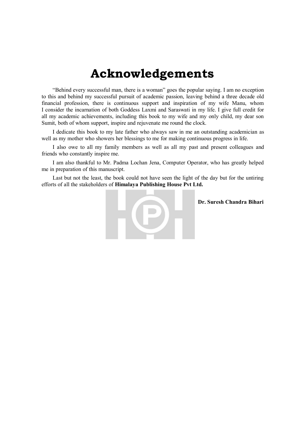## **Acknowledgements**

"Behind every successful man, there is a woman" goes the popular saying. I am no exception to this and behind my successful pursuit of academic passion, leaving behind a three decade old financial profession, there is continuous support and inspiration of my wife Manu, whom I consider the incarnation of both Goddess Laxmi and Saraswati in my life. I give full credit for all my academic achievements, including this book to my wife and my only child, my dear son Sumit, both of whom support, inspire and rejuvenate me round the clock.

I dedicate this book to my late father who always saw in me an outstanding academician as well as my mother who showers her blessings to me for making continuous progress in life.

I also owe to all my family members as well as all my past and present colleagues and friends who constantly inspire me.

I am also thankful to Mr. Padma Lochan Jena, Computer Operator, who has greatly helped me in preparation of this manuscript.

Last but not the least, the book could not have seen the light of the day but for the untiring efforts of all the stakeholders of **Himalaya Publishing House Pvt Ltd.**



**Dr. Suresh Chandra Bihari**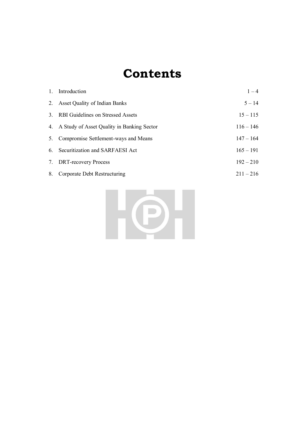## **Contents**

| 1. Introduction                               | $1 - 4$     |
|-----------------------------------------------|-------------|
| 2. Asset Quality of Indian Banks              | $5 - 14$    |
| 3. RBI Guidelines on Stressed Assets          | $15 - 115$  |
| 4. A Study of Asset Quality in Banking Sector | $116 - 146$ |
| 5. Compromise Settlement-ways and Means       | $147 - 164$ |
| 6. Securitization and SARFAESI Act            | $165 - 191$ |
| 7. DRT-recovery Process                       | $192 - 210$ |
| 8. Corporate Debt Restructuring               | $211 - 216$ |

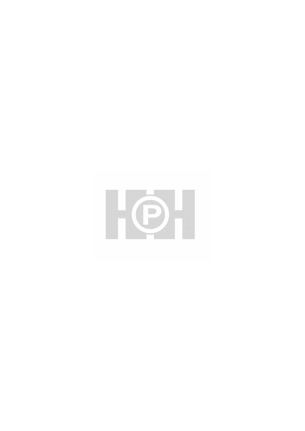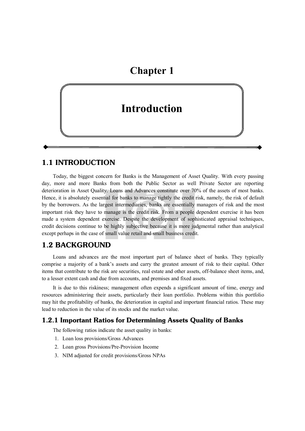## **Chapter 1**

## **Introduction**

## **1.1 INTRODUCTION**

Today, the biggest concern for Banks is the Management of Asset Quality. With every passing day, more and more Banks from both the Public Sector as well Private Sector are reporting deterioration in Asset Quality. Loans and Advances constitute over 70% of the assets of most banks. Hence, it is absolutely essential for banks to manage tightly the credit risk, namely, the risk of default by the borrowers. As the largest intermediaries, banks are essentially managers of risk and the most important risk they have to manage is the credit risk. From a people dependent exercise it has been made a system dependent exercise. Despite the development of sophisticated appraisal techniques, credit decisions continue to be highly subjective because it is more judgmental rather than analytical except perhaps in the case of small value retail and small business credit.

## **1.2 BACKGROUND**

Loans and advances are the most important part of balance sheet of banks. They typically comprise a majority of a bank's assets and carry the greatest amount of risk to their capital. Other items that contribute to the risk are securities, real estate and other assets, off-balance sheet items, and, to a lesser extent cash and due from accounts, and premises and fixed assets.

It is due to this riskiness; management often expends a significant amount of time, energy and resources administering their assets, particularly their loan portfolio. Problems within this portfolio may hit the profitability of banks, the deterioration in capital and important financial ratios. These may lead to reduction in the value of its stocks and the market value.

#### **1.2.1 Important Ratios for Determining Assets Quality of Banks**

The following ratios indicate the asset quality in banks:

- 1. Loan loss provisions/Gross Advances
- 2. Loan gross Provisions/Pre-Provision Income
- 3. NIM adjusted for credit provisions/Gross NPAs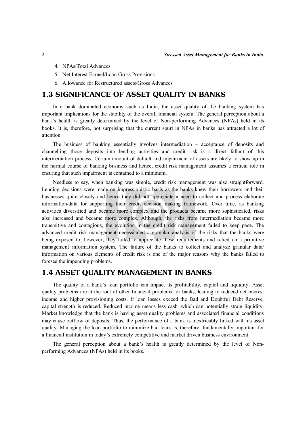- 4. NPAs/Total Advances
- 5. Net Interest Earned/Loan Gross Provisions
- 6. Allowance for Restructured assets/Gross Advances

## **1.3 SIGNIFICANCE OF ASSET QUALITY IN BANKS**

In a bank dominated economy such as India, the asset quality of the banking system has important implications for the stability of the overall financial system. The general perception about a bank's health is greatly determined by the level of Non-performing Advances (NPAs) held in its books. It is, therefore, not surprising that the current spurt in NPAs in banks has attracted a lot of attention.

The business of banking essentially involves intermediation – acceptance of deposits and channelling those deposits into lending activities and credit risk is a direct fallout of this intermediation process. Certain amount of default and impairment of assets are likely to show up in the normal course of banking business and hence, credit risk management assumes a critical role in ensuring that such impairment is contained to a minimum.

Needless to say, when banking was simple, credit risk management was also straightforward. Lending decisions were made on impressionistic basis as the banks knew their borrowers and their businesses quite closely and hence they did not appreciate a need to collect and process elaborate information/data for supporting their credit decision making framework. Over time, as banking activities diversified and became more complex and the products became more sophisticated, risks also increased and became more complex. Although, the risks from intermediation became more transmitive and contagious, the evolution in the credit risk management failed to keep pace. The advanced credit risk management necessitated a granular analysis of the risks that the banks were being exposed to; however, they failed to appreciate these requirements and relied on a primitive management information system. The failure of the banks to collect and analyze granular data/ information on various elements of credit risk is one of the major reasons why the banks failed to foresee the impending problems.

### **1.4 ASSET QUALITY MANAGEMENT IN BANKS**

The quality of a bank's loan portfolio can impact its profitability, capital and liquidity. Asset quality problems are at the root of other financial problems for banks, leading to reduced net interest income and higher provisioning costs. If loan losses exceed the Bad and Doubtful Debt Reserve, capital strength is reduced. Reduced income means less cash, which can potentially strain liquidity. Market knowledge that the bank is having asset quality problems and associated financial conditions may cause outflow of deposits. Thus, the performance of a bank is inextricably linked with its asset quality. Managing the loan portfolio to minimize bad loans is, therefore, fundamentally important for a financial institution in today's extremely competitive and market driven business environment.

The general perception about a bank's health is greatly determined by the level of Nonperforming Advances (NPAs) held in its books.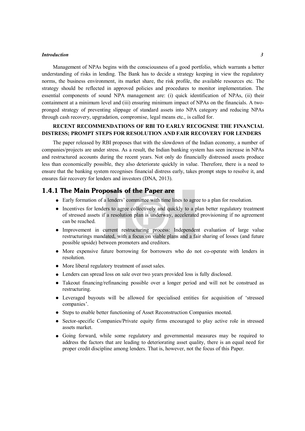#### *Introduction 3*

Management of NPAs begins with the consciousness of a good portfolio, which warrants a better understanding of risks in lending. The Bank has to decide a strategy keeping in view the regulatory norms, the business environment, its market share, the risk profile, the available resources etc. The strategy should be reflected in approved policies and procedures to monitor implementation. The essential components of sound NPA management are: (i) quick identification of NPAs, (ii) their containment at a minimum level and (iii) ensuring minimum impact of NPAs on the financials. A twopronged strategy of preventing slippage of standard assets into NPA category and reducing NPAs through cash recovery, upgradation, compromise, legal means etc., is called for.

#### **RECENT RECOMMENDATIONS OF RBI TO EARLY RECOGNISE THE FINANCIAL DISTRESS; PROMPT STEPS FOR RESOLUTION AND FAIR RECOVERY FOR LENDERS**

The paper released by RBI proposes that with the slowdown of the Indian economy, a number of companies/projects are under stress. As a result, the Indian banking system has seen increase in NPAs and restructured accounts during the recent years. Not only do financially distressed assets produce less than economically possible, they also deteriorate quickly in value. Therefore, there is a need to ensure that the banking system recognises financial distress early, takes prompt steps to resolve it, and ensures fair recovery for lenders and investors (DNA, 2013).

#### **1.4.1 The Main Proposals of the Paper are**

- Early formation of a lenders' committee with time lines to agree to a plan for resolution.
- Incentives for lenders to agree collectively and quickly to a plan better regulatory treatment of stressed assets if a resolution plan is underway, accelerated provisioning if no agreement can be reached.
- Improvement in current restructuring process: Independent evaluation of large value restructurings mandated, with a focus on viable plans and a fair sharing of losses (and future possible upside) between promoters and creditors.
- More expensive future borrowing for borrowers who do not co-operate with lenders in resolution.
- More liberal regulatory treatment of asset sales.
- Lenders can spread loss on sale over two vears provided loss is fully disclosed.
- Takeout financing/refinancing possible over a longer period and will not be construed as restructuring.
- Leveraged buyouts will be allowed for specialised entities for acquisition of 'stressed companies'.
- Steps to enable better functioning of Asset Reconstruction Companies mooted.
- Sector-specific Companies/Private equity firms encouraged to play active role in stressed assets market.
- Going forward, while some regulatory and governmental measures may be required to address the factors that are leading to deteriorating asset quality, there is an equal need for proper credit discipline among lenders. That is, however, not the focus of this Paper.